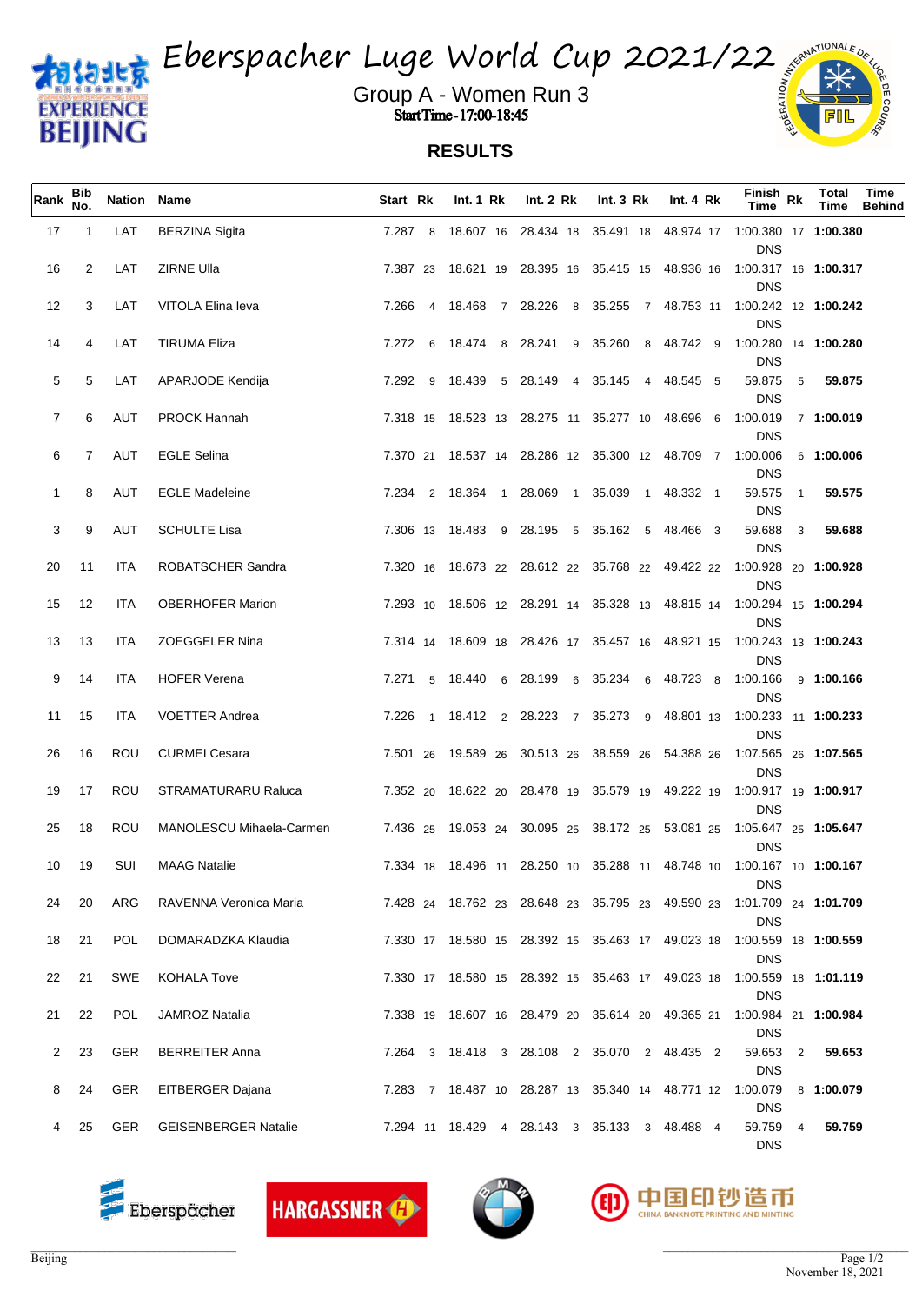

Eberspacher Luge World Cup 2021/22

Group A - Women Run 3 Start Time - 17:00-18:45

## **RESULTS**

| Rank     | Bib<br>No.     | Nation Name |                                               | Start Rk | Int. $1 \,$ Rk                                           | Int. 2 Rk | Int. $3 \, Rk$ | Int. $4 \, Rk$ | $F_{\text{link}}$ Rk<br><b>Time</b>                                                                                                                          | <b>Total</b><br>Time | Time<br><b>Behind</b> |
|----------|----------------|-------------|-----------------------------------------------|----------|----------------------------------------------------------|-----------|----------------|----------------|--------------------------------------------------------------------------------------------------------------------------------------------------------------|----------------------|-----------------------|
| 17       | $\overline{1}$ | LAT         | <b>BERZINA Sigita</b>                         |          |                                                          |           |                |                | 7.287 8 18.607 16 28.434 18 35.491 18 48.974 17 1:00.380 17 <b>1:00.380</b><br><b>DNS</b>                                                                    |                      |                       |
| 16       | 2              | LAT         | ZIRNE Ulla                                    |          |                                                          |           |                |                | 7.387 23 18.621 19 28.395 16 35.415 15 48.936 16 1:00.317 16 1:00.317<br><b>DNS</b>                                                                          |                      |                       |
| 12       | 3              | LAT         | VITOLA Elina leva                             |          |                                                          |           |                |                | 7.266 4 18.468 7 28.226 8 35.255 7 48.753 11 1:00.242 12 1:00.242<br><b>DNS</b>                                                                              |                      |                       |
| 14       | 4              | LAT         | <b>TIRUMA Eliza</b>                           |          |                                                          |           |                |                | 7.272 6 18.474 8 28.241 9 35.260 8 48.742 9 1:00.280 14 <b>1:00.280</b><br><b>DNS</b>                                                                        |                      |                       |
| 5        | 5              | LAT         | APARJODE Kendija                              |          | 7.292 9 18.439 5 28.149 4 35.145 4 48.545 5              |           |                |                | 59.875<br>5<br><b>DNS</b>                                                                                                                                    | 59.875               |                       |
| 7        | 6              | AUT         | <b>PROCK Hannah</b>                           |          | 7.318 15 18.523 13 28.275 11 35.277 10 48.696 6 1.00.019 |           |                |                | <b>DNS</b>                                                                                                                                                   | 7 1:00.019           |                       |
| 6        | 7              | AUT         | <b>EGLE Selina</b>                            |          | 7.370 21 18.537 14 28.286 12 35.300 12 48.709 7 1:00.006 |           |                |                | <b>DNS</b>                                                                                                                                                   | 6 1:00.006           |                       |
| -1       | 8              | AUT         | <b>EGLE Madeleine</b>                         |          | 7.234 2 18.364 1 28.069 1 35.039 1 48.332 1              |           |                |                | 59.575<br>$\overline{1}$<br><b>DNS</b>                                                                                                                       | 59.575               |                       |
| 3        | 9              | AUT         | <b>SCHULTE Lisa</b>                           |          | 7.306 13 18.483 9 28.195 5 35.162 5 48.466 3             |           |                |                | 59.688<br>3<br><b>DNS</b>                                                                                                                                    | 59.688               |                       |
| 20       | 11             | ITA         | ROBATSCHER Sandra                             |          |                                                          |           |                |                | 7.320 16 18.673 22 28.612 22 35.768 22 49.422 22 1:00.928 20 1:00.928<br><b>DNS</b>                                                                          |                      |                       |
| 15       | 12             | ITA         | <b>OBERHOFER Marion</b>                       |          |                                                          |           |                |                | 7.293 10 18.506 12 28.291 14 35.328 13 48.815 14 1:00.294 15 1:00.294<br><b>DNS</b>                                                                          |                      |                       |
| 13       | 13             | ITA         | <b>ZOEGGELER Nina</b>                         |          |                                                          |           |                |                | 7.314 14 18.609 18 28.426 17 35.457 16 48.921 15 1:00.243 13 1:00.243<br><b>DNS</b>                                                                          |                      |                       |
| 9        | 14             | ITA         | <b>HOFER Verena</b>                           |          | 7.271 5 18.440 6 28.199 6 35.234 6 48.723 8 1:00.166     |           |                |                | <b>DNS</b>                                                                                                                                                   | 9 1:00.166           |                       |
| 11       | 15             | ITA         | <b>VOETTER Andrea</b>                         |          |                                                          |           |                |                | 7.226  1  18.412  2  28.223  7  35.273  9  48.801  13  1:00.233  11  1: <b>00.233</b><br><b>DNS</b>                                                          |                      |                       |
| 26       | 16             | ROU         | <b>CURMEI Cesara</b>                          |          |                                                          |           |                |                | 7.501 26 19.589 26 30.513 26 38.559 26 54.388 26 1:07.565 26 1: <b>07.565</b><br><b>DNS</b>                                                                  |                      |                       |
| 19       | 17             | ROU         | <b>STRAMATURARU Raluca</b>                    |          |                                                          |           |                |                | 7.352 20 18.622 20 28.478 19 35.579 19 49.222 19 1:00.917 19 1:00.917<br><b>DNS</b>                                                                          |                      |                       |
| 25       | 18             | ROU         | MANOLESCU Mihaela-Carmen                      |          |                                                          |           |                |                | 7.436 25 19.053 24 30.095 25 38.172 25 53.081 25 1:05.647 25 1:05.647<br><b>DNS</b>                                                                          |                      |                       |
| 10<br>24 | 19<br>20       | SUI<br>ARG  | <b>MAAG Natalie</b><br>RAVENNA Veronica Maria |          |                                                          |           |                |                | 7.334 18 18.496 11 28.250 10 35.288 11 48.748 10 1:00.167 10 1:00.167<br><b>DNS</b><br>7.428 24 18.762 23 28.648 23 35.795 23 49.590 23 1.01.709 24 1.01.709 |                      |                       |
| 18       | 21             | <b>POL</b>  | DOMARADZKA Klaudia                            |          |                                                          |           |                |                | <b>DNS</b><br>7.330 17 18.580 15 28.392 15 35.463 17 49.023 18 1:00.559 18 1:00.559                                                                          |                      |                       |
| 22       | 21             | SWE         | KOHALA Tove                                   |          |                                                          |           |                |                | <b>DNS</b><br>7.330 17 18.580 15 28.392 15 35.463 17 49.023 18 1:00.559 18 1:01.119                                                                          |                      |                       |
| 21       | 22             | POL         | JAMROZ Natalia                                |          |                                                          |           |                |                | <b>DNS</b><br>7.338 19 18.607 16 28.479 20 35.614 20 49.365 21 1:00.984 21 1:00.984                                                                          |                      |                       |
| 2        | 23             | GER         | <b>BERREITER Anna</b>                         |          | 7.264 3 18.418 3 28.108 2 35.070 2 48.435 2              |           |                |                | <b>DNS</b><br>59.653<br>2                                                                                                                                    | 59.653               |                       |
| 8        | 24             |             | GER EITBERGER Dajana                          |          | 7.283 7 18.487 10 28.287 13 35.340 14 48.771 12 1.00.079 |           |                |                | <b>DNS</b>                                                                                                                                                   | 8 1:00.079           |                       |
|          | 25             |             | GER GEISENBERGER Natalie                      |          | 7.294 11 18.429 4 28.143 3 35.133 3 48.488 4             |           |                |                | <b>DNS</b><br>59.759<br>4                                                                                                                                    | 59.759               |                       |
|          |                |             |                                               |          |                                                          |           |                |                | <b>DNS</b>                                                                                                                                                   |                      |                       |